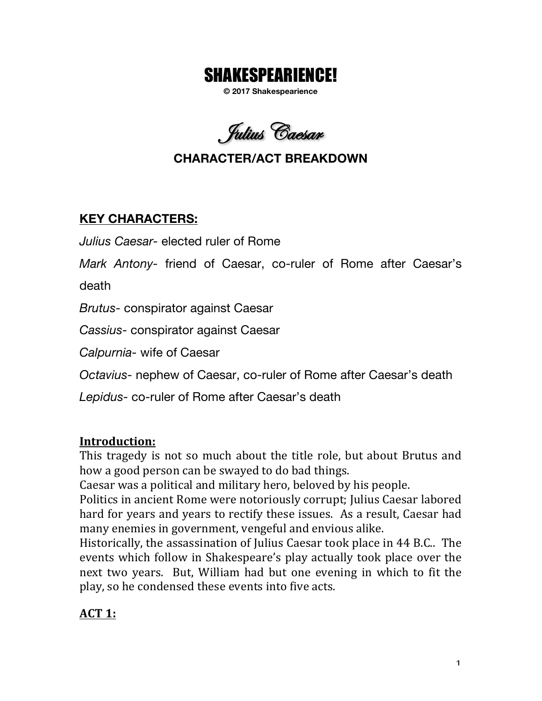# SHAKESPEARIENCE!

**© 2017 Shakespearience**

Julius Caesar

# **CHARACTER/ACT BREAKDOWN**

### **KEY CHARACTERS:**

*Julius Caesar-* elected ruler of Rome

*Mark Antony-* friend of Caesar, co-ruler of Rome after Caesar's

death

*Brutus-* conspirator against Caesar

*Cassius-* conspirator against Caesar

*Calpurnia-* wife of Caesar

*Octavius-* nephew of Caesar, co-ruler of Rome after Caesar's death

*Lepidus-* co-ruler of Rome after Caesar's death

### **Introduction:**

This tragedy is not so much about the title role, but about Brutus and how a good person can be swayed to do bad things.

Caesar was a political and military hero, beloved by his people.

Politics in ancient Rome were notoriously corrupt; Julius Caesar labored hard for years and years to rectify these issues. As a result, Caesar had many enemies in government, vengeful and envious alike.

Historically, the assassination of Julius Caesar took place in 44 B.C.. The events which follow in Shakespeare's play actually took place over the next two years. But, William had but one evening in which to fit the play, so he condensed these events into five acts.

## **ACT 1:**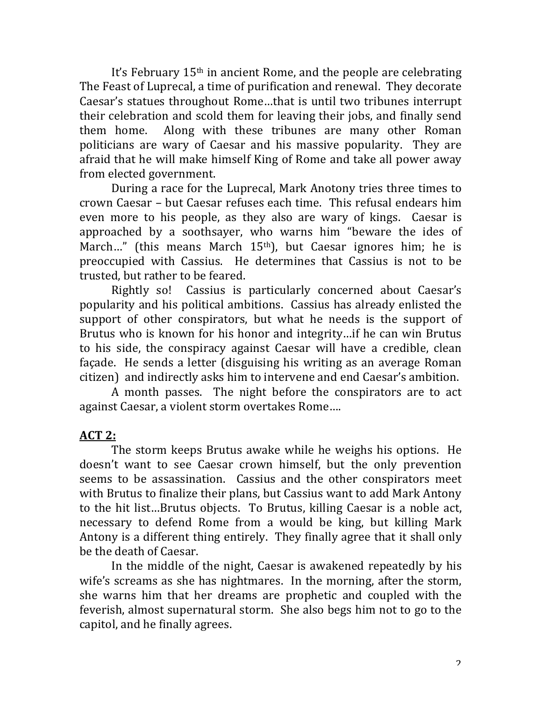It's February  $15<sup>th</sup>$  in ancient Rome, and the people are celebrating The Feast of Luprecal, a time of purification and renewal. They decorate Caesar's statues throughout Rome...that is until two tribunes interrupt their celebration and scold them for leaving their jobs, and finally send them home. Along with these tribunes are many other Roman politicians are wary of Caesar and his massive popularity. They are afraid that he will make himself King of Rome and take all power away from elected government.

During a race for the Luprecal, Mark Anotony tries three times to crown Caesar – but Caesar refuses each time. This refusal endears him even more to his people, as they also are wary of kings. Caesar is approached by a soothsayer, who warns him "beware the ides of March..." (this means March  $15<sup>th</sup>$ ), but Caesar ignores him; he is preoccupied with Cassius. He determines that Cassius is not to be trusted, but rather to be feared.

Rightly so! Cassius is particularly concerned about Caesar's popularity and his political ambitions. Cassius has already enlisted the support of other conspirators, but what he needs is the support of Brutus who is known for his honor and integrity…if he can win Brutus to his side, the conspiracy against Caesar will have a credible, clean façade. He sends a letter (disguising his writing as an average Roman citizen) and indirectly asks him to intervene and end Caesar's ambition.

A month passes. The night before the conspirators are to act against Caesar, a violent storm overtakes Rome....

#### **ACT 2:**

The storm keeps Brutus awake while he weighs his options. He doesn't want to see Caesar crown himself, but the only prevention seems to be assassination. Cassius and the other conspirators meet with Brutus to finalize their plans, but Cassius want to add Mark Antony to the hit list...Brutus objects. To Brutus, killing Caesar is a noble act, necessary to defend Rome from a would be king, but killing Mark Antony is a different thing entirely. They finally agree that it shall only be the death of Caesar.

In the middle of the night, Caesar is awakened repeatedly by his wife's screams as she has nightmares. In the morning, after the storm, she warns him that her dreams are prophetic and coupled with the feverish, almost supernatural storm. She also begs him not to go to the capitol, and he finally agrees.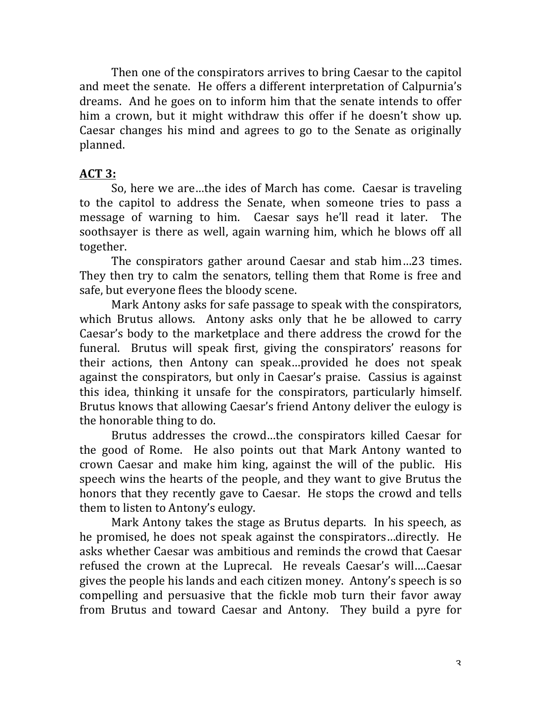Then one of the conspirators arrives to bring Caesar to the capitol and meet the senate. He offers a different interpretation of Calpurnia's dreams. And he goes on to inform him that the senate intends to offer him a crown, but it might withdraw this offer if he doesn't show up. Caesar changes his mind and agrees to go to the Senate as originally planned. 

#### **ACT 3:**

So, here we are...the ides of March has come. Caesar is traveling to the capitol to address the Senate, when someone tries to pass a message of warning to him. Caesar says he'll read it later. The soothsayer is there as well, again warning him, which he blows off all together.

The conspirators gather around Caesar and stab him...23 times. They then try to calm the senators, telling them that Rome is free and safe, but everyone flees the bloody scene.

Mark Antony asks for safe passage to speak with the conspirators, which Brutus allows. Antony asks only that he be allowed to carry Caesar's body to the marketplace and there address the crowd for the funeral. Brutus will speak first, giving the conspirators' reasons for their actions, then Antony can speak...provided he does not speak against the conspirators, but only in Caesar's praise. Cassius is against this idea, thinking it unsafe for the conspirators, particularly himself. Brutus knows that allowing Caesar's friend Antony deliver the eulogy is the honorable thing to do.

Brutus addresses the crowd...the conspirators killed Caesar for the good of Rome. He also points out that Mark Antony wanted to crown Caesar and make him king, against the will of the public. His speech wins the hearts of the people, and they want to give Brutus the honors that they recently gave to Caesar. He stops the crowd and tells them to listen to Antony's eulogy.

Mark Antony takes the stage as Brutus departs. In his speech, as he promised, he does not speak against the conspirators...directly. He asks whether Caesar was ambitious and reminds the crowd that Caesar refused the crown at the Luprecal. He reveals Caesar's will....Caesar gives the people his lands and each citizen money. Antony's speech is so compelling and persuasive that the fickle mob turn their favor away from Brutus and toward Caesar and Antony. They build a pyre for